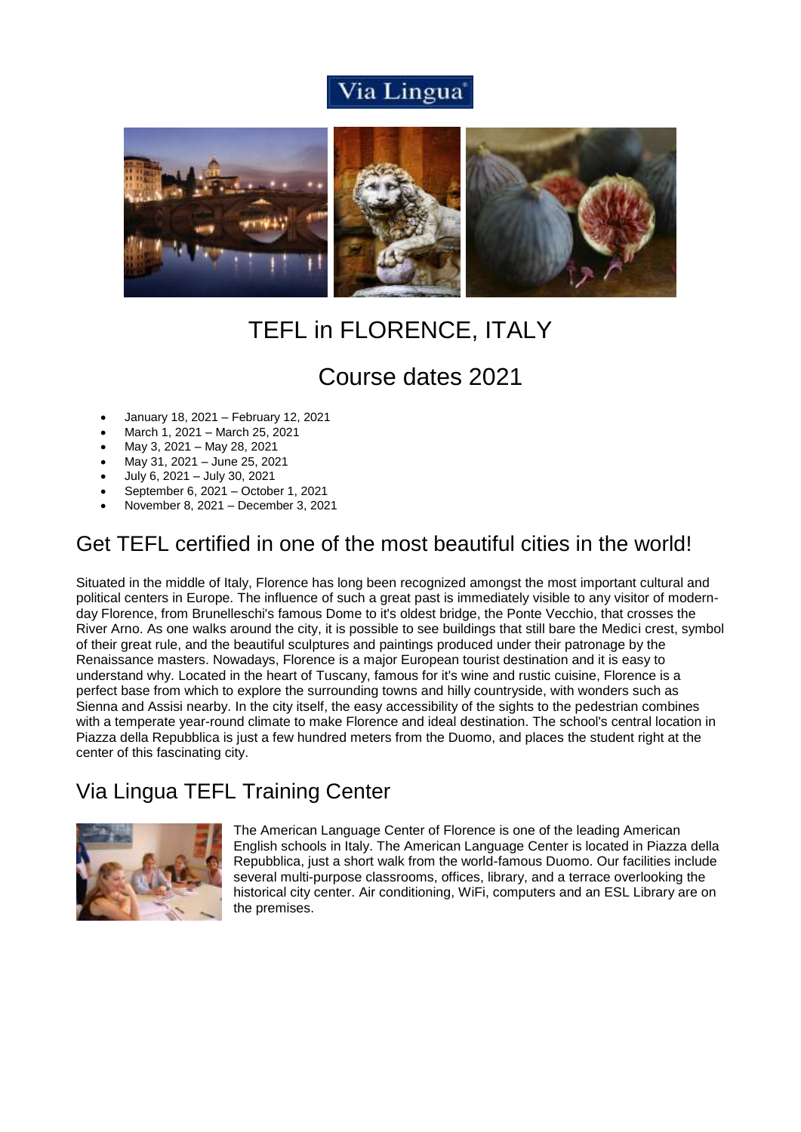# Via Lingua®



# TEFL in FLORENCE, ITALY

# Course dates 2021

- January 18, 2021 February 12, 2021
- March 1, 2021 March 25, 2021
- May 3, 2021 May 28, 2021
- May 31, 2021 June 25, 2021
- July 6, 2021 July 30, 2021
- September 6, 2021 October 1, 2021
- November 8, 2021 December 3, 2021

# Get TEFL certified in one of the most beautiful cities in the world!

Situated in the middle of Italy, Florence has long been recognized amongst the most important cultural and political centers in Europe. The influence of such a great past is immediately visible to any visitor of modernday Florence, from Brunelleschi's famous Dome to it's oldest bridge, the Ponte Vecchio, that crosses the River Arno. As one walks around the city, it is possible to see buildings that still bare the Medici crest, symbol of their great rule, and the beautiful sculptures and paintings produced under their patronage by the Renaissance masters. Nowadays, Florence is a major European tourist destination and it is easy to understand why. Located in the heart of Tuscany, famous for it's wine and rustic cuisine, Florence is a perfect base from which to explore the surrounding towns and hilly countryside, with wonders such as Sienna and Assisi nearby. In the city itself, the easy accessibility of the sights to the pedestrian combines with a temperate year-round climate to make Florence and ideal destination. The school's central location in Piazza della Repubblica is just a few hundred meters from the Duomo, and places the student right at the center of this fascinating city.

# Via Lingua TEFL Training Center



The American Language Center of Florence is one of the leading American English schools in Italy. The American Language Center is located in Piazza della Repubblica, just a short walk from the world-famous Duomo. Our facilities include several multi-purpose classrooms, offices, library, and a terrace overlooking the historical city center. Air conditioning, WiFi, computers and an ESL Library are on the premises.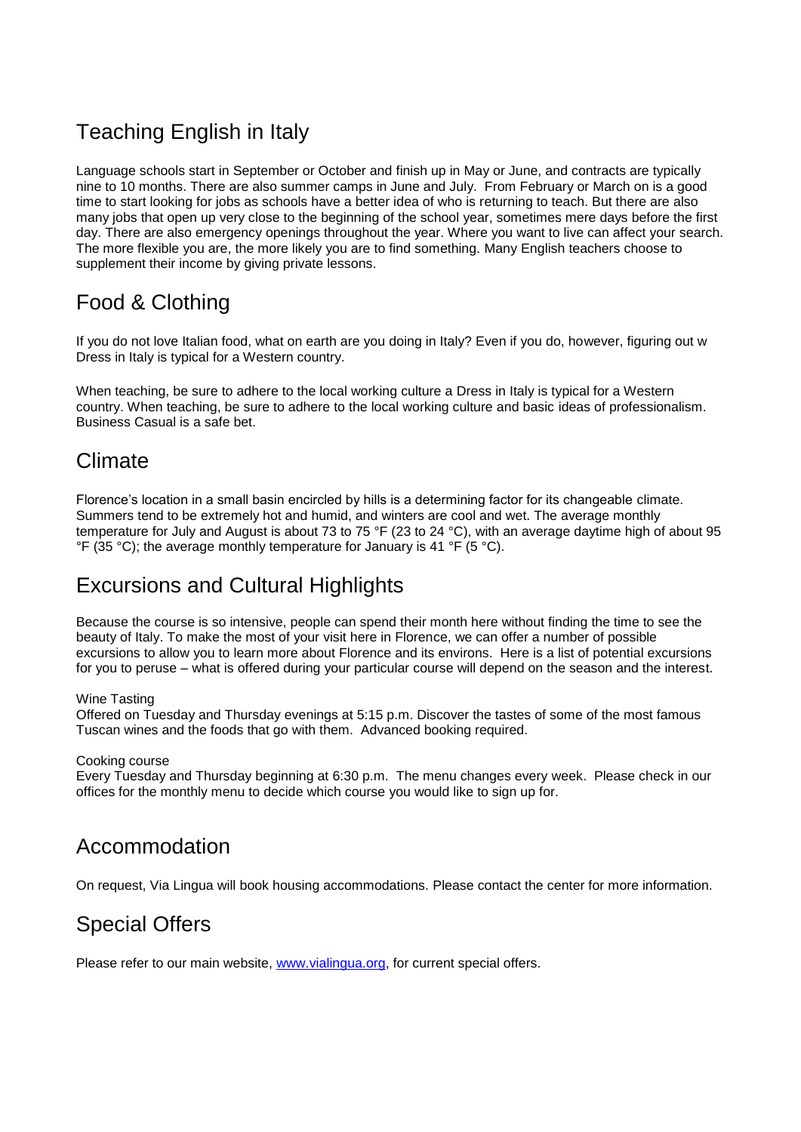# Teaching English in Italy

Language schools start in September or October and finish up in May or June, and contracts are typically nine to 10 months. There are also summer camps in June and July. From February or March on is a good time to start looking for jobs as schools have a better idea of who is returning to teach. But there are also many jobs that open up very close to the beginning of the school year, sometimes mere days before the first day. There are also emergency openings throughout the year. Where you want to live can affect your search. The more flexible you are, the more likely you are to find something. Many English teachers choose to supplement their income by giving private lessons.

# Food & Clothing

If you do not love Italian food, what on earth are you doing in Italy? Even if you do, however, figuring out w Dress in Italy is typical for a Western country.

When teaching, be sure to adhere to the local working culture a Dress in Italy is typical for a Western country. When teaching, be sure to adhere to the local working culture and basic ideas of professionalism. Business Casual is a safe bet.

### Climate

Florence's location in a small basin encircled by hills is a determining factor for its changeable [climate.](http://www.britannica.com/EBchecked/topic/210642/Florence/22446/The-climate##) Summers tend to be extremely hot and humid, and winters are cool and wet. The average monthly temperature for July and August is about 73 to 75 °F (23 to 24 °C), with an average daytime high of about 95  $\degree$ F (35  $\degree$ C); the average monthly temperature for January is 41  $\degree$ F (5  $\degree$ C).

## Excursions and Cultural Highlights

Because the course is so intensive, people can spend their month here without finding the time to see the beauty of Italy. To make the most of your visit here in Florence, we can offer a number of possible excursions to allow you to learn more about Florence and its environs. Here is a list of potential excursions for you to peruse – what is offered during your particular course will depend on the season and the interest.

#### Wine Tasting

Offered on Tuesday and Thursday evenings at 5:15 p.m. Discover the tastes of some of the most famous Tuscan wines and the foods that go with them. Advanced booking required.

#### Cooking course

Every Tuesday and Thursday beginning at 6:30 p.m. The menu changes every week. Please check in our offices for the monthly menu to decide which course you would like to sign up for.

## Accommodation

On request, Via Lingua will book housing accommodations. Please contact the center for more information.

# Special Offers

Please refer to our main website, [www.vialingua.org,](http://www.vialingua.org/) for current special offers.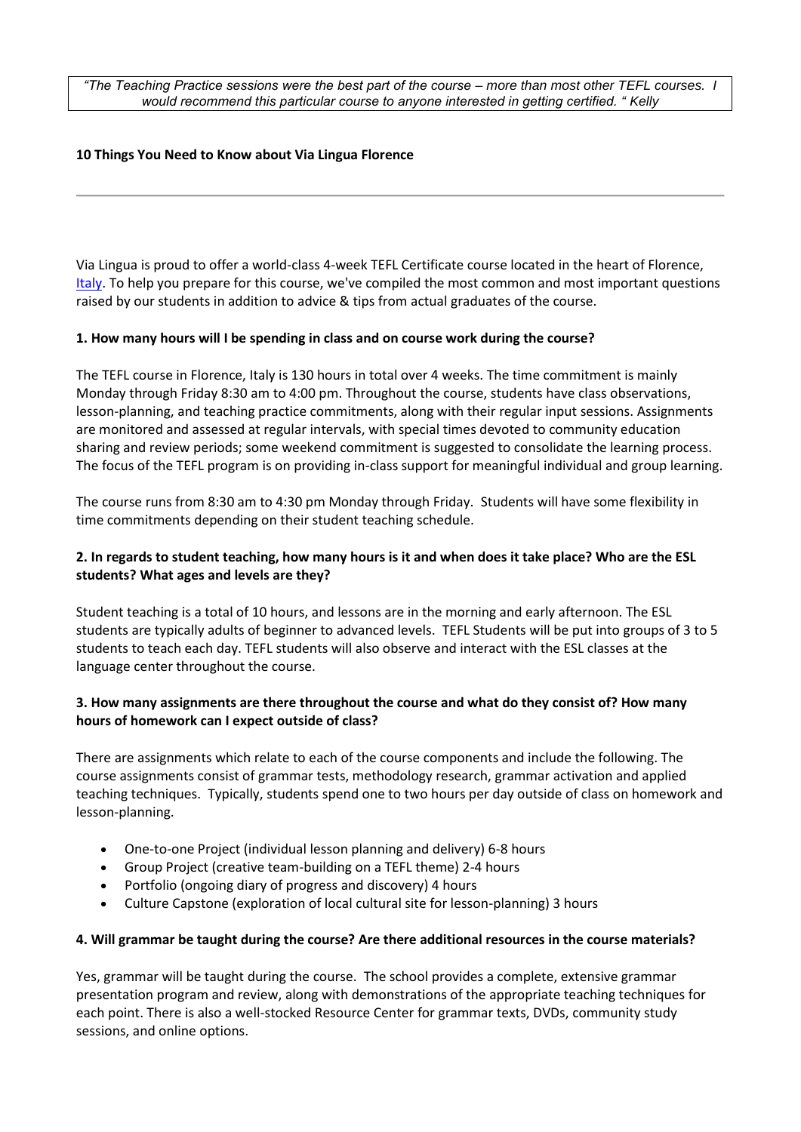*"The Teaching Practice sessions were the best part of the course – more than most other TEFL courses. I would recommend this particular course to anyone interested in getting certified. " Kelly*

#### **10 Things You Need to Know about Via Lingua Florence**

Via Lingua is proud to offer a world-class 4-week TEFL Certificate course located in the heart of Florence, [Italy.](https://www.internationalteflacademy.com/italy-teaching-english-overseas-jobs) To help you prepare for this course, we've compiled the most common and most important questions raised by our students in addition to advice & tips from actual graduates of the course.

#### **1. How many hours will I be spending in class and on course work during the course?**

The TEFL course in Florence, Italy is 130 hours in total over 4 weeks. The time commitment is mainly Monday through Friday 8:30 am to 4:00 pm. Throughout the course, students have class observations, lesson-planning, and teaching practice commitments, along with their regular input sessions. Assignments are monitored and assessed at regular intervals, with special times devoted to community education sharing and review periods; some weekend commitment is suggested to consolidate the learning process. The focus of the TEFL program is on providing in-class support for meaningful individual and group learning.

The course runs from 8:30 am to 4:30 pm Monday through Friday. Students will have some flexibility in time commitments depending on their student teaching schedule.

#### **2. In regards to student teaching, how many hours is it and when does it take place? Who are the ESL students? What ages and levels are they?**

Student teaching is a total of 10 hours, and lessons are in the morning and early afternoon. The ESL students are typically adults of beginner to advanced levels. TEFL Students will be put into groups of 3 to 5 students to teach each day. TEFL students will also observe and interact with the ESL classes at the language center throughout the course.

#### **3. How many assignments are there throughout the course and what do they consist of? How many hours of homework can I expect outside of class?**

There are assignments which relate to each of the course components and include the following. The course assignments consist of grammar tests, methodology research, grammar activation and applied teaching techniques. Typically, students spend one to two hours per day outside of class on homework and lesson-planning.

- One-to-one Project (individual lesson planning and delivery) 6-8 hours
- Group Project (creative team-building on a TEFL theme) 2-4 hours
- Portfolio (ongoing diary of progress and discovery) 4 hours
- Culture Capstone (exploration of local cultural site for lesson-planning) 3 hours

#### **4. Will grammar be taught during the course? Are there additional resources in the course materials?**

Yes, grammar will be taught during the course. The school provides a complete, extensive grammar presentation program and review, along with demonstrations of the appropriate teaching techniques for each point. There is also a well-stocked Resource Center for grammar texts, DVDs, community study sessions, and online options.